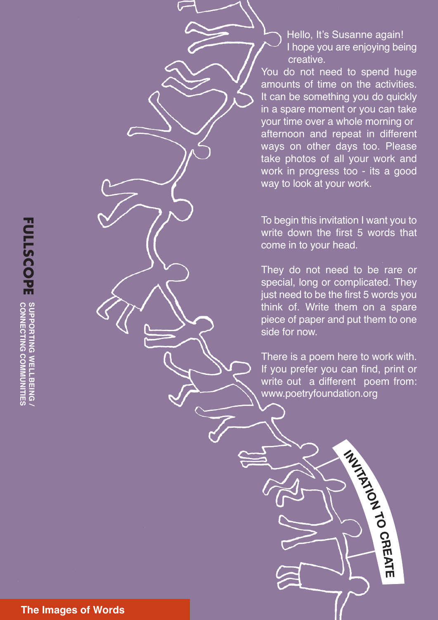**SUPPORTING WELLBEING FULLSCOPE** SUPPORTING WELLBEING **CONNECTING FULLSCOPE** SUPPORTING WELLBEING

Hello, It's Susanne again! I hope you are enjoying being creative.

You do not need to spend huge amounts of time on the activities. It can be something you do quickly in a spare moment or you can take your time over a whole morning or afternoon and repeat in different ways on other days too. Please take photos of all your work and work in progress too - its a good way to look at your work.

To begin this invitation I want you to write down the first 5 words that come in to your head.

They do not need to be rare or special, long or complicated. They just need to be the first 5 words you think of. Write them on a spare piece of paper and put them to one side for now.

There is a poem here to work with. If you prefer you can find, print or write out a different poem from: www.poetryfoundation.org

**INVITATION**

**TO**

**CREAT**

**E**

**T h e I m a g e s o f W o r d s**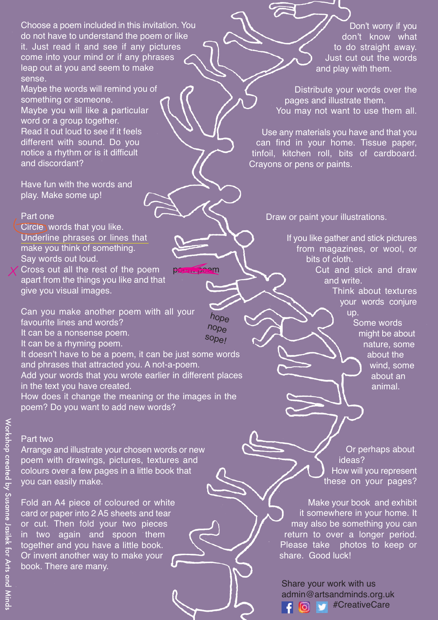Choose a poem included in this invitation. You do not have to understand the poem or like it. Just read it and see if any pictures come into your mind or if any phrases leap out at you and seem to make sense.

Maybe the words will remind you of something or someone. Maybe you will like a particular word or a group together. Read it out loud to see if it feels different with sound. Do you notice a rhythm or is it difficult and discordant?

Have fun with the words and play. Make some up!

#### Part one

Circle words that you like. Underline phrases or lines that make you think of something. Say words out loud.

Cross out all the rest of the poem apart from the things you like and that give you visual images.

Can you make another poem with all your favourite lines and words? It can be a nonsense poem. It can be a rhyming poem.

It doesn't have to be a poem, it can be just some words and phrases that attracted you. A not-a-poem. Add your words that you wrote earlier in different places in the text you have created.

poem poem

hope nope sope!

How does it change the meaning or the images in the poem? Do you want to add new words?

#### Part two

Arrange and illustrate your chosen words or new poem with drawings, pictures, textures and colours over a few pages in a little book that you can easily make.

Fold an A4 piece of coloured or white card or paper into 2 A5 sheets and tear or cut. Then fold your two pieces in two again and spoon them together and you have a little book. Or invent another way to make your book. There are many.

Don't worry if you don't know what to do straight away. Just cut out the words and play with them.

Distribute your words over the pages and illustrate them. You may not want to use them all.

Use any materials you have and that you can find in your home. Tissue paper, tinfoil, kitchen roll, bits of cardboard. Crayons or pens or paints.

Draw or paint your illustrations.

If you like gather and stick pictures from magazines, or wool, or bits of cloth.

Cut and stick and draw and write.

> Think about textures your words conjure up.

Some words might be about nature, some about the wind, some about an animal.

Or perhaps about ideas? How will you represent these on your pages?

Make your book and exhibit it somewhere in your home. It may also be something you can return to over a longer period. Please take photos to keep or share. Good luck!

Share your work with us [adm](https://www.facebook.com/Arts-Minds-142168742475426/)in@artsandminds.org.uk [#CreativeCare](https://twitter.com/search?q=%23CreativeCare&src=typed_query&f=live)டு **Section**